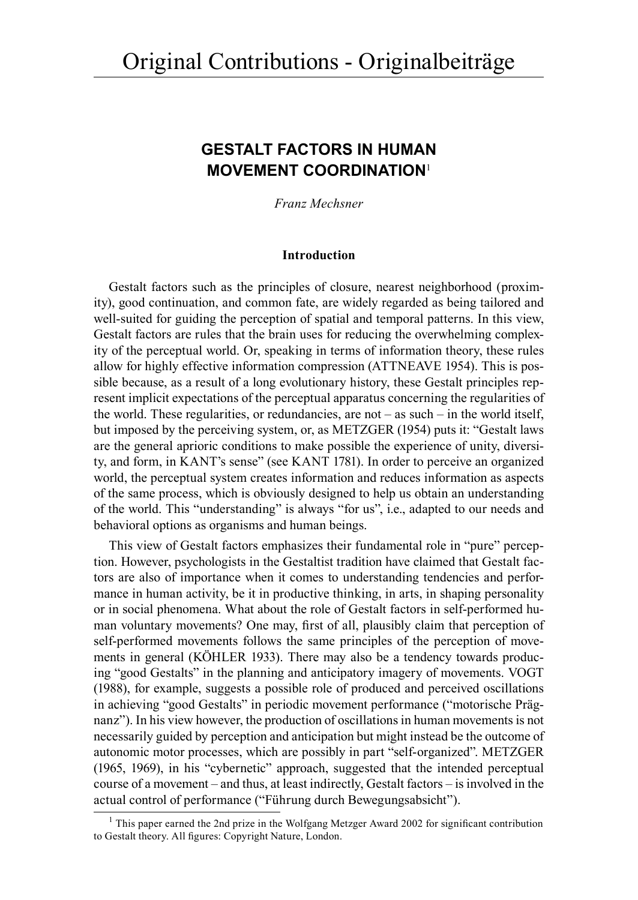# **GESTALT FACTORS IN HUMAN MOVEMENT COORDINATION**<sup>1</sup>

*Franz Mechsner*

# **Introduction**

Gestalt factors such as the principles of closure, nearest neighborhood (proximity), good continuation, and common fate, are widely regarded as being tailored and well-suited for guiding the perception of spatial and temporal patterns. In this view, Gestalt factors are rules that the brain uses for reducing the overwhelming complexity of the perceptual world. Or, speaking in terms of information theory, these rules allow for highly effective information compression (ATTNEAVE 1954). This is possible because, as a result of a long evolutionary history, these Gestalt principles represent implicit expectations of the perceptual apparatus concerning the regularities of the world. These regularities, or redundancies, are not – as such – in the world itself, but imposed by the perceiving system, or, as METZGER (1954) puts it: "Gestalt laws are the general aprioric conditions to make possible the experience of unity, diversity, and form, in KANT's sense" (see KANT 1781). In order to perceive an organized world, the perceptual system creates information and reduces information as aspects of the same process, which is obviously designed to help us obtain an understanding of the world. This "understanding" is always "for us", i.e., adapted to our needs and behavioral options as organisms and human beings.

This view of Gestalt factors emphasizes their fundamental role in "pure" perception. However, psychologists in the Gestaltist tradition have claimed that Gestalt factors are also of importance when it comes to understanding tendencies and performance in human activity, be it in productive thinking, in arts, in shaping personality or in social phenomena. What about the role of Gestalt factors in self-performed human voluntary movements? One may, first of all, plausibly claim that perception of self-performed movements follows the same principles of the perception of movements in general (KÖHLER 1933). There may also be a tendency towards producing "good Gestalts" in the planning and anticipatory imagery of movements. VOGT (1988), for example, suggests a possible role of produced and perceived oscillations in achieving "good Gestalts" in periodic movement performance ("motorische Prägnanz"). In his view however, the production of oscillations in human movements is not necessarily guided by perception and anticipation but might instead be the outcome of autonomic motor processes, which are possibly in part "self-organized". METZGER (1965, 1969), in his "cybernetic" approach, suggested that the intended perceptual course of a movement – and thus, at least indirectly, Gestalt factors – is involved in the actual control of performance ("Führung durch Bewegungsabsicht").

<sup>&</sup>lt;sup>1</sup> This paper earned the 2nd prize in the Wolfgang Metzger Award 2002 for significant contribution to Gestalt theory. All figures: Copyright Nature, London.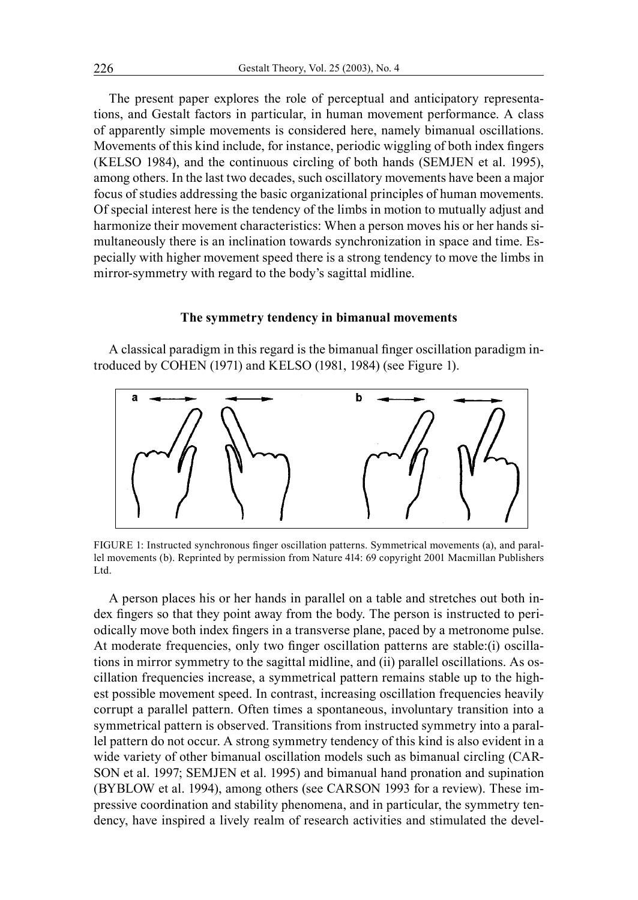The present paper explores the role of perceptual and anticipatory representations, and Gestalt factors in particular, in human movement performance. A class of apparently simple movements is considered here, namely bimanual oscillations. Movements of this kind include, for instance, periodic wiggling of both index fingers (KELSO 1984), and the continuous circling of both hands (SEMJEN et al. 1995), among others. In the last two decades, such oscillatory movements have been a major focus of studies addressing the basic organizational principles of human movements. Of special interest here is the tendency of the limbs in motion to mutually adjust and harmonize their movement characteristics: When a person moves his or her hands simultaneously there is an inclination towards synchronization in space and time. Especially with higher movement speed there is a strong tendency to move the limbs in mirror-symmetry with regard to the body's sagittal midline.

## **The symmetry tendency in bimanual movements**

A classical paradigm in this regard is the bimanual finger oscillation paradigm introduced by COHEN (1971) and KELSO (1981, 1984) (see Figure 1).



FIGURE 1: Instructed synchronous finger oscillation patterns. Symmetrical movements (a), and parallel movements (b). Reprinted by permission from Nature 414: 69 copyright 2001 Macmillan Publishers Ltd.

A person places his or her hands in parallel on a table and stretches out both index fingers so that they point away from the body. The person is instructed to periodically move both index fingers in a transverse plane, paced by a metronome pulse. At moderate frequencies, only two finger oscillation patterns are stable:(i) oscillations in mirror symmetry to the sagittal midline, and (ii) parallel oscillations. As oscillation frequencies increase, a symmetrical pattern remains stable up to the highest possible movement speed. In contrast, increasing oscillation frequencies heavily corrupt a parallel pattern. Often times a spontaneous, involuntary transition into a symmetrical pattern is observed. Transitions from instructed symmetry into a parallel pattern do not occur. A strong symmetry tendency of this kind is also evident in a wide variety of other bimanual oscillation models such as bimanual circling (CAR-SON et al. 1997; SEMJEN et al. 1995) and bimanual hand pronation and supination (BYBLOW et al. 1994), among others (see CARSON 1993 for a review). These impressive coordination and stability phenomena, and in particular, the symmetry tendency, have inspired a lively realm of research activities and stimulated the devel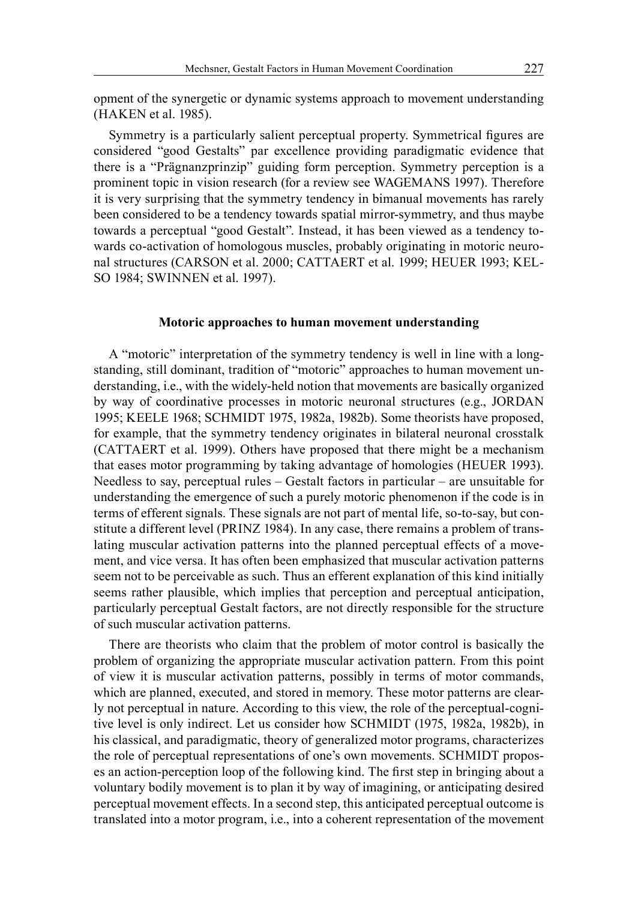opment of the synergetic or dynamic systems approach to movement understanding (HAKEN et al. 1985).

Symmetry is a particularly salient perceptual property. Symmetrical figures are considered "good Gestalts" par excellence providing paradigmatic evidence that there is a "Prägnanzprinzip" guiding form perception. Symmetry perception is a prominent topic in vision research (for a review see WAGEMANS 1997). Therefore it is very surprising that the symmetry tendency in bimanual movements has rarely been considered to be a tendency towards spatial mirror-symmetry, and thus maybe towards a perceptual "good Gestalt". Instead, it has been viewed as a tendency towards co-activation of homologous muscles, probably originating in motoric neuronal structures (CARSON et al. 2000; CATTAERT et al. 1999; HEUER 1993; KEL-SO 1984; SWINNEN et al. 1997).

## **Motoric approaches to human movement understanding**

A "motoric" interpretation of the symmetry tendency is well in line with a longstanding, still dominant, tradition of "motoric" approaches to human movement understanding, i.e., with the widely-held notion that movements are basically organized by way of coordinative processes in motoric neuronal structures (e.g., JORDAN 1995; KEELE 1968; SCHMIDT 1975, 1982a, 1982b). Some theorists have proposed, for example, that the symmetry tendency originates in bilateral neuronal crosstalk (CATTAERT et al. 1999). Others have proposed that there might be a mechanism that eases motor programming by taking advantage of homologies (HEUER 1993). Needless to say, perceptual rules – Gestalt factors in particular – are unsuitable for understanding the emergence of such a purely motoric phenomenon if the code is in terms of efferent signals. These signals are not part of mental life, so-to-say, but constitute a different level (PRINZ 1984). In any case, there remains a problem of translating muscular activation patterns into the planned perceptual effects of a movement, and vice versa. It has often been emphasized that muscular activation patterns seem not to be perceivable as such. Thus an efferent explanation of this kind initially seems rather plausible, which implies that perception and perceptual anticipation, particularly perceptual Gestalt factors, are not directly responsible for the structure of such muscular activation patterns.

There are theorists who claim that the problem of motor control is basically the problem of organizing the appropriate muscular activation pattern. From this point of view it is muscular activation patterns, possibly in terms of motor commands, which are planned, executed, and stored in memory. These motor patterns are clearly not perceptual in nature. According to this view, the role of the perceptual-cognitive level is only indirect. Let us consider how SCHMIDT (1975, 1982a, 1982b), in his classical, and paradigmatic, theory of generalized motor programs, characterizes the role of perceptual representations of one's own movements. SCHMIDT proposes an action-perception loop of the following kind. The first step in bringing about a voluntary bodily movement is to plan it by way of imagining, or anticipating desired perceptual movement effects. In a second step, this anticipated perceptual outcome is translated into a motor program, i.e., into a coherent representation of the movement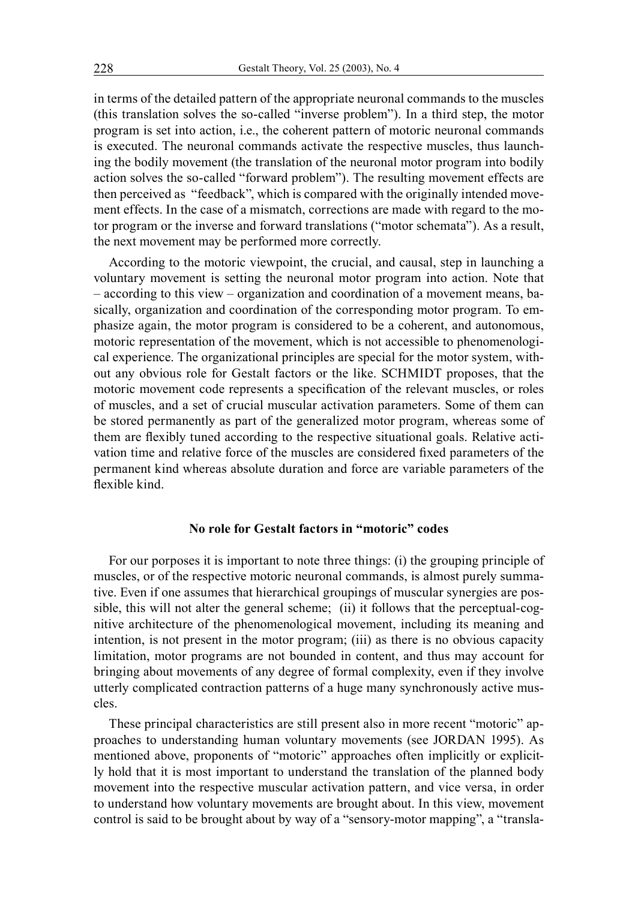in terms of the detailed pattern of the appropriate neuronal commands to the muscles (this translation solves the so-called "inverse problem"). In a third step, the motor program is set into action, i.e., the coherent pattern of motoric neuronal commands is executed. The neuronal commands activate the respective muscles, thus launching the bodily movement (the translation of the neuronal motor program into bodily action solves the so-called "forward problem"). The resulting movement effects are then perceived as "feedback", which is compared with the originally intended movement effects. In the case of a mismatch, corrections are made with regard to the motor program or the inverse and forward translations ("motor schemata"). As a result, the next movement may be performed more correctly.

According to the motoric viewpoint, the crucial, and causal, step in launching a voluntary movement is setting the neuronal motor program into action. Note that – according to this view – organization and coordination of a movement means, basically, organization and coordination of the corresponding motor program. To emphasize again, the motor program is considered to be a coherent, and autonomous, motoric representation of the movement, which is not accessible to phenomenological experience. The organizational principles are special for the motor system, without any obvious role for Gestalt factors or the like. SCHMIDT proposes, that the motoric movement code represents a specification of the relevant muscles, or roles of muscles, and a set of crucial muscular activation parameters. Some of them can be stored permanently as part of the generalized motor program, whereas some of them are flexibly tuned according to the respective situational goals. Relative activation time and relative force of the muscles are considered fixed parameters of the permanent kind whereas absolute duration and force are variable parameters of the flexible kind.

# **No role for Gestalt factors in "motoric" codes**

For our porposes it is important to note three things: (i) the grouping principle of muscles, or of the respective motoric neuronal commands, is almost purely summative. Even if one assumes that hierarchical groupings of muscular synergies are possible, this will not alter the general scheme; (ii) it follows that the perceptual-cognitive architecture of the phenomenological movement, including its meaning and intention, is not present in the motor program; (iii) as there is no obvious capacity limitation, motor programs are not bounded in content, and thus may account for bringing about movements of any degree of formal complexity, even if they involve utterly complicated contraction patterns of a huge many synchronously active muscles.

These principal characteristics are still present also in more recent "motoric" approaches to understanding human voluntary movements (see JORDAN 1995). As mentioned above, proponents of "motoric" approaches often implicitly or explicitly hold that it is most important to understand the translation of the planned body movement into the respective muscular activation pattern, and vice versa, in order to understand how voluntary movements are brought about. In this view, movement control is said to be brought about by way of a "sensory-motor mapping", a "transla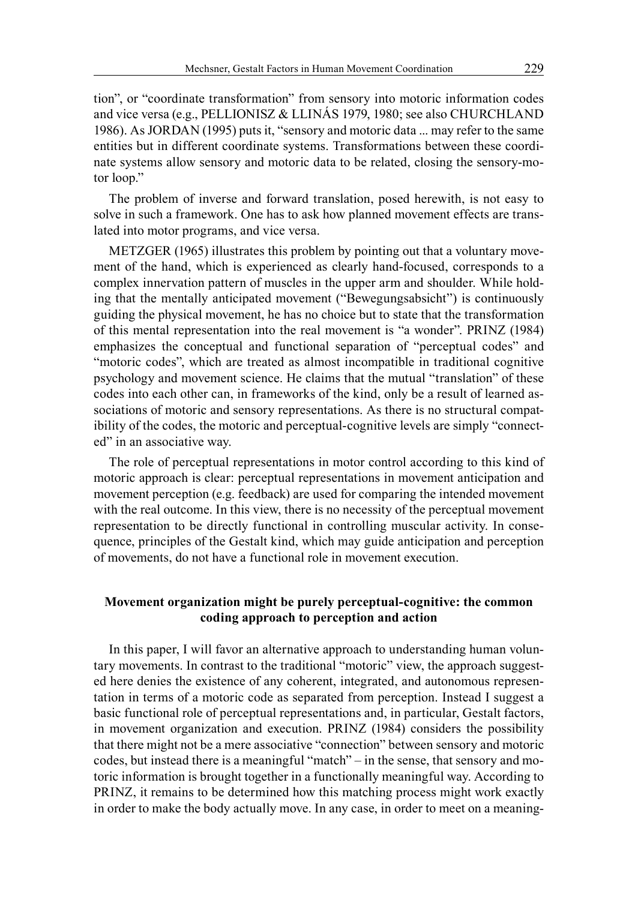tion", or "coordinate transformation" from sensory into motoric information codes and vice versa (e.g., PELLIONISZ & LLINÁS 1979, 1980; see also CHURCHLAND 1986). As JORDAN (1995) puts it, "sensory and motoric data ... may refer to the same entities but in different coordinate systems. Transformations between these coordinate systems allow sensory and motoric data to be related, closing the sensory-motor loop."

The problem of inverse and forward translation, posed herewith, is not easy to solve in such a framework. One has to ask how planned movement effects are translated into motor programs, and vice versa.

METZGER (1965) illustrates this problem by pointing out that a voluntary movement of the hand, which is experienced as clearly hand-focused, corresponds to a complex innervation pattern of muscles in the upper arm and shoulder. While holding that the mentally anticipated movement ("Bewegungsabsicht") is continuously guiding the physical movement, he has no choice but to state that the transformation of this mental representation into the real movement is "a wonder". PRINZ (1984) emphasizes the conceptual and functional separation of "perceptual codes" and "motoric codes", which are treated as almost incompatible in traditional cognitive psychology and movement science. He claims that the mutual "translation" of these codes into each other can, in frameworks of the kind, only be a result of learned associations of motoric and sensory representations. As there is no structural compatibility of the codes, the motoric and perceptual-cognitive levels are simply "connected" in an associative way.

The role of perceptual representations in motor control according to this kind of motoric approach is clear: perceptual representations in movement anticipation and movement perception (e.g. feedback) are used for comparing the intended movement with the real outcome. In this view, there is no necessity of the perceptual movement representation to be directly functional in controlling muscular activity. In consequence, principles of the Gestalt kind, which may guide anticipation and perception of movements, do not have a functional role in movement execution.

# **Movement organization might be purely perceptual-cognitive: the common coding approach to perception and action**

In this paper, I will favor an alternative approach to understanding human voluntary movements. In contrast to the traditional "motoric" view, the approach suggested here denies the existence of any coherent, integrated, and autonomous representation in terms of a motoric code as separated from perception. Instead I suggest a basic functional role of perceptual representations and, in particular, Gestalt factors, in movement organization and execution. PRINZ (1984) considers the possibility that there might not be a mere associative "connection" between sensory and motoric codes, but instead there is a meaningful "match" – in the sense, that sensory and motoric information is brought together in a functionally meaningful way. According to PRINZ, it remains to be determined how this matching process might work exactly in order to make the body actually move. In any case, in order to meet on a meaning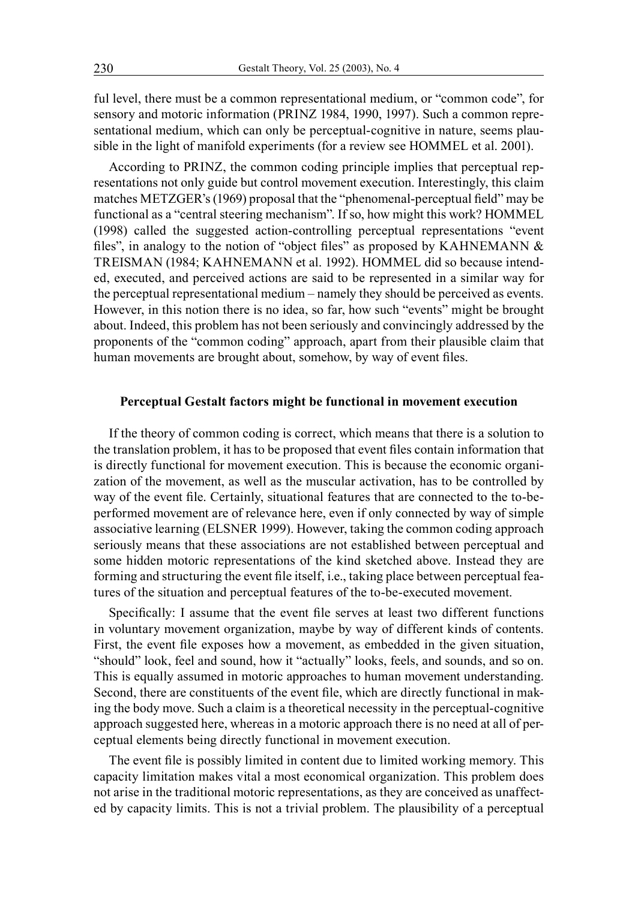ful level, there must be a common representational medium, or "common code", for sensory and motoric information (PRINZ 1984, 1990, 1997). Such a common representational medium, which can only be perceptual-cognitive in nature, seems plausible in the light of manifold experiments (for a review see HOMMEL et al. 2001).

According to PRINZ, the common coding principle implies that perceptual representations not only guide but control movement execution. Interestingly, this claim matches METZGER's (1969) proposal that the "phenomenal-perceptual field" may be functional as a "central steering mechanism". If so, how might this work? HOMMEL (1998) called the suggested action-controlling perceptual representations "event files", in analogy to the notion of "object files" as proposed by KAHNEMANN & TREISMAN (1984; KAHNEMANN et al. 1992). HOMMEL did so because intended, executed, and perceived actions are said to be represented in a similar way for the perceptual representational medium – namely they should be perceived as events. However, in this notion there is no idea, so far, how such "events" might be brought about. Indeed, this problem has not been seriously and convincingly addressed by the proponents of the "common coding" approach, apart from their plausible claim that human movements are brought about, somehow, by way of event files.

## **Perceptual Gestalt factors might be functional in movement execution**

If the theory of common coding is correct, which means that there is a solution to the translation problem, it has to be proposed that event files contain information that is directly functional for movement execution. This is because the economic organization of the movement, as well as the muscular activation, has to be controlled by way of the event file. Certainly, situational features that are connected to the to-beperformed movement are of relevance here, even if only connected by way of simple associative learning (ELSNER 1999). However, taking the common coding approach seriously means that these associations are not established between perceptual and some hidden motoric representations of the kind sketched above. Instead they are forming and structuring the event file itself, i.e., taking place between perceptual features of the situation and perceptual features of the to-be-executed movement.

Specifically: I assume that the event file serves at least two different functions in voluntary movement organization, maybe by way of different kinds of contents. First, the event file exposes how a movement, as embedded in the given situation, "should" look, feel and sound, how it "actually" looks, feels, and sounds, and so on. This is equally assumed in motoric approaches to human movement understanding. Second, there are constituents of the event file, which are directly functional in making the body move. Such a claim is a theoretical necessity in the perceptual-cognitive approach suggested here, whereas in a motoric approach there is no need at all of perceptual elements being directly functional in movement execution.

The event file is possibly limited in content due to limited working memory. This capacity limitation makes vital a most economical organization. This problem does not arise in the traditional motoric representations, as they are conceived as unaffected by capacity limits. This is not a trivial problem. The plausibility of a perceptual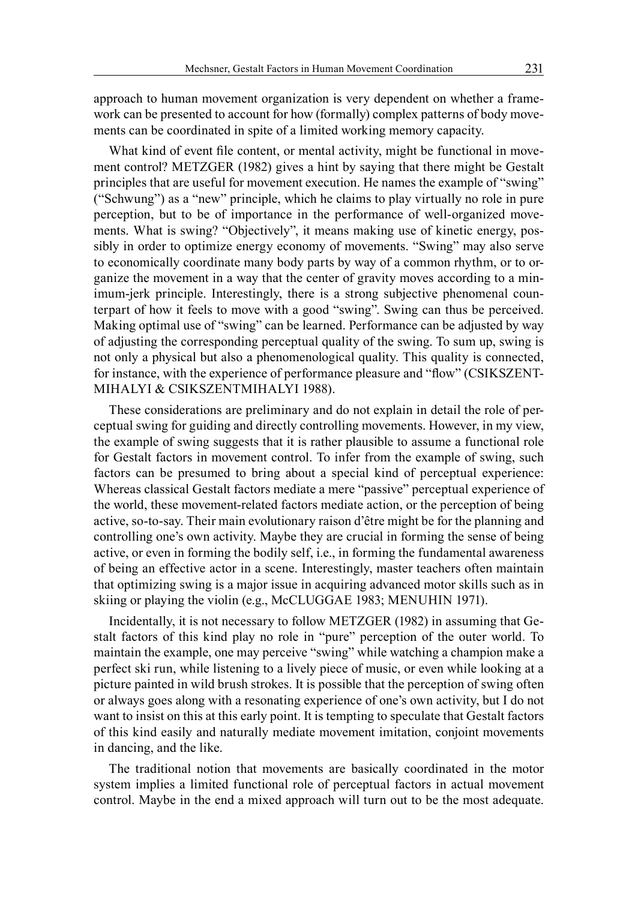approach to human movement organization is very dependent on whether a framework can be presented to account for how (formally) complex patterns of body movements can be coordinated in spite of a limited working memory capacity.

What kind of event file content, or mental activity, might be functional in movement control? METZGER (1982) gives a hint by saying that there might be Gestalt principles that are useful for movement execution. He names the example of "swing" ("Schwung") as a "new" principle, which he claims to play virtually no role in pure perception, but to be of importance in the performance of well-organized movements. What is swing? "Objectively", it means making use of kinetic energy, possibly in order to optimize energy economy of movements. "Swing" may also serve to economically coordinate many body parts by way of a common rhythm, or to organize the movement in a way that the center of gravity moves according to a minimum-jerk principle. Interestingly, there is a strong subjective phenomenal counterpart of how it feels to move with a good "swing". Swing can thus be perceived. Making optimal use of "swing" can be learned. Performance can be adjusted by way of adjusting the corresponding perceptual quality of the swing. To sum up, swing is not only a physical but also a phenomenological quality. This quality is connected, for instance, with the experience of performance pleasure and "flow" (CSIKSZENT-MIHALYI & CSIKSZENTMIHALYI 1988).

These considerations are preliminary and do not explain in detail the role of perceptual swing for guiding and directly controlling movements. However, in my view, the example of swing suggests that it is rather plausible to assume a functional role for Gestalt factors in movement control. To infer from the example of swing, such factors can be presumed to bring about a special kind of perceptual experience: Whereas classical Gestalt factors mediate a mere "passive" perceptual experience of the world, these movement-related factors mediate action, or the perception of being active, so-to-say. Their main evolutionary raison d'être might be for the planning and controlling one's own activity. Maybe they are crucial in forming the sense of being active, or even in forming the bodily self, i.e., in forming the fundamental awareness of being an effective actor in a scene. Interestingly, master teachers often maintain that optimizing swing is a major issue in acquiring advanced motor skills such as in skiing or playing the violin (e.g., McCLUGGAE 1983; MENUHIN 1971).

Incidentally, it is not necessary to follow METZGER (1982) in assuming that Gestalt factors of this kind play no role in "pure" perception of the outer world. To maintain the example, one may perceive "swing" while watching a champion make a perfect ski run, while listening to a lively piece of music, or even while looking at a picture painted in wild brush strokes. It is possible that the perception of swing often or always goes along with a resonating experience of one's own activity, but I do not want to insist on this at this early point. It is tempting to speculate that Gestalt factors of this kind easily and naturally mediate movement imitation, conjoint movements in dancing, and the like.

The traditional notion that movements are basically coordinated in the motor system implies a limited functional role of perceptual factors in actual movement control. Maybe in the end a mixed approach will turn out to be the most adequate.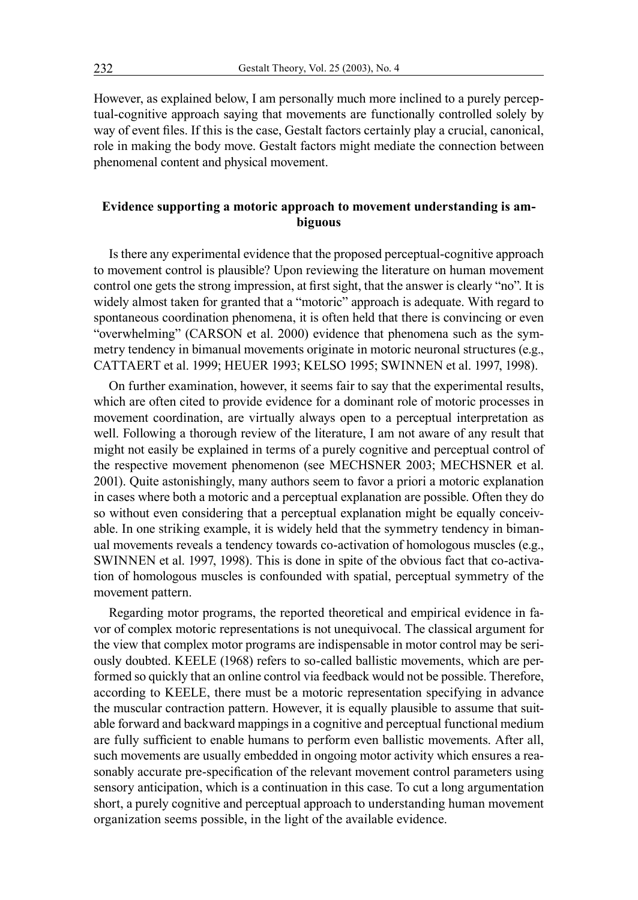However, as explained below, I am personally much more inclined to a purely perceptual-cognitive approach saying that movements are functionally controlled solely by way of event files. If this is the case, Gestalt factors certainly play a crucial, canonical, role in making the body move. Gestalt factors might mediate the connection between phenomenal content and physical movement.

# **Evidence supporting a motoric approach to movement understanding is ambiguous**

Is there any experimental evidence that the proposed perceptual-cognitive approach to movement control is plausible? Upon reviewing the literature on human movement control one gets the strong impression, at first sight, that the answer is clearly "no". It is widely almost taken for granted that a "motoric" approach is adequate. With regard to spontaneous coordination phenomena, it is often held that there is convincing or even "overwhelming" (CARSON et al. 2000) evidence that phenomena such as the symmetry tendency in bimanual movements originate in motoric neuronal structures (e.g., CATTAERT et al. 1999; HEUER 1993; KELSO 1995; SWINNEN et al. 1997, 1998).

On further examination, however, it seems fair to say that the experimental results, which are often cited to provide evidence for a dominant role of motoric processes in movement coordination, are virtually always open to a perceptual interpretation as well. Following a thorough review of the literature, I am not aware of any result that might not easily be explained in terms of a purely cognitive and perceptual control of the respective movement phenomenon (see MECHSNER 2003; MECHSNER et al. 2001). Quite astonishingly, many authors seem to favor a priori a motoric explanation in cases where both a motoric and a perceptual explanation are possible. Often they do so without even considering that a perceptual explanation might be equally conceivable. In one striking example, it is widely held that the symmetry tendency in bimanual movements reveals a tendency towards co-activation of homologous muscles (e.g., SWINNEN et al. 1997, 1998). This is done in spite of the obvious fact that co-activation of homologous muscles is confounded with spatial, perceptual symmetry of the movement pattern.

Regarding motor programs, the reported theoretical and empirical evidence in favor of complex motoric representations is not unequivocal. The classical argument for the view that complex motor programs are indispensable in motor control may be seriously doubted. KEELE (1968) refers to so-called ballistic movements, which are performed so quickly that an online control via feedback would not be possible. Therefore, according to KEELE, there must be a motoric representation specifying in advance the muscular contraction pattern. However, it is equally plausible to assume that suitable forward and backward mappings in a cognitive and perceptual functional medium are fully sufficient to enable humans to perform even ballistic movements. After all, such movements are usually embedded in ongoing motor activity which ensures a reasonably accurate pre-specification of the relevant movement control parameters using sensory anticipation, which is a continuation in this case. To cut a long argumentation short, a purely cognitive and perceptual approach to understanding human movement organization seems possible, in the light of the available evidence.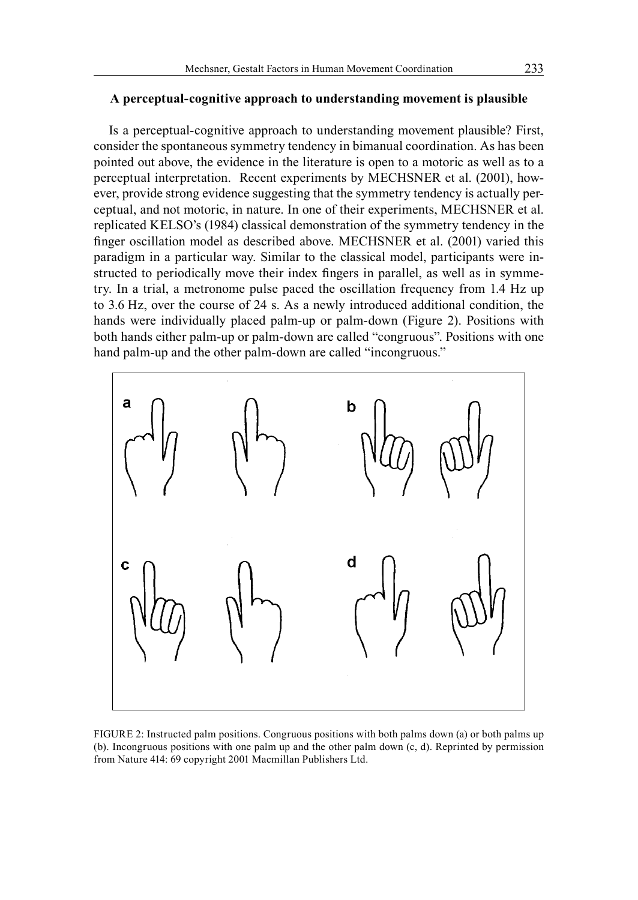## **A perceptual-cognitive approach to understanding movement is plausible**

Is a perceptual-cognitive approach to understanding movement plausible? First, consider the spontaneous symmetry tendency in bimanual coordination. As has been pointed out above, the evidence in the literature is open to a motoric as well as to a perceptual interpretation. Recent experiments by MECHSNER et al. (2001), however, provide strong evidence suggesting that the symmetry tendency is actually perceptual, and not motoric, in nature. In one of their experiments, MECHSNER et al. replicated KELSO's (1984) classical demonstration of the symmetry tendency in the finger oscillation model as described above. MECHSNER et al. (2001) varied this paradigm in a particular way. Similar to the classical model, participants were instructed to periodically move their index fingers in parallel, as well as in symmetry. In a trial, a metronome pulse paced the oscillation frequency from 1.4 Hz up to 3.6 Hz, over the course of 24 s. As a newly introduced additional condition, the hands were individually placed palm-up or palm-down (Figure 2). Positions with both hands either palm-up or palm-down are called "congruous". Positions with one hand palm-up and the other palm-down are called "incongruous."



FIGURE 2: Instructed palm positions. Congruous positions with both palms down (a) or both palms up (b). Incongruous positions with one palm up and the other palm down (c, d). Reprinted by permission from Nature 414: 69 copyright 2001 Macmillan Publishers Ltd.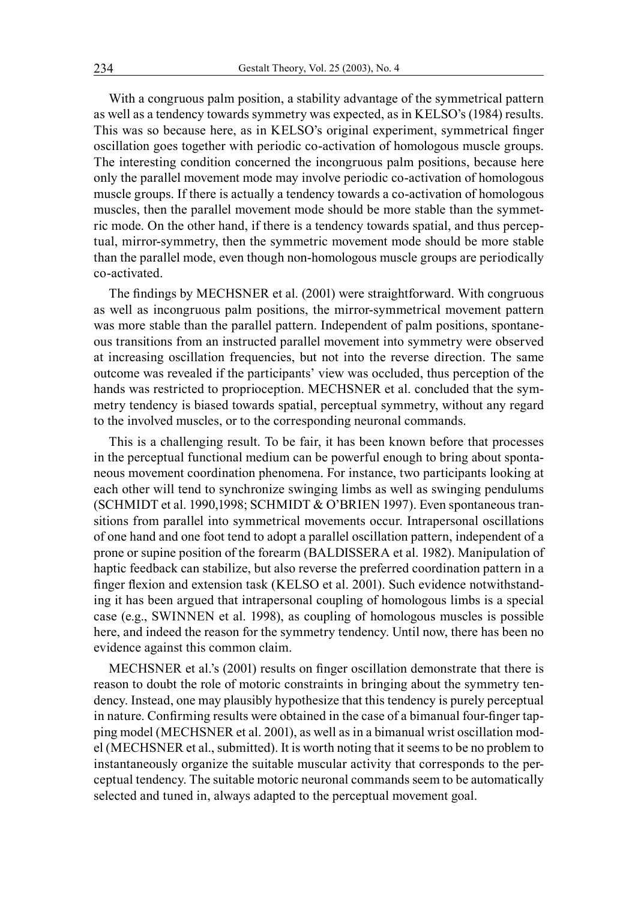With a congruous palm position, a stability advantage of the symmetrical pattern as well as a tendency towards symmetry was expected, as in KELSO's (1984) results. This was so because here, as in KELSO's original experiment, symmetrical finger oscillation goes together with periodic co-activation of homologous muscle groups. The interesting condition concerned the incongruous palm positions, because here only the parallel movement mode may involve periodic co-activation of homologous muscle groups. If there is actually a tendency towards a co-activation of homologous muscles, then the parallel movement mode should be more stable than the symmetric mode. On the other hand, if there is a tendency towards spatial, and thus perceptual, mirror-symmetry, then the symmetric movement mode should be more stable than the parallel mode, even though non-homologous muscle groups are periodically co-activated.

The findings by MECHSNER et al. (2001) were straightforward. With congruous as well as incongruous palm positions, the mirror-symmetrical movement pattern was more stable than the parallel pattern. Independent of palm positions, spontaneous transitions from an instructed parallel movement into symmetry were observed at increasing oscillation frequencies, but not into the reverse direction. The same outcome was revealed if the participants' view was occluded, thus perception of the hands was restricted to proprioception. MECHSNER et al. concluded that the symmetry tendency is biased towards spatial, perceptual symmetry, without any regard to the involved muscles, or to the corresponding neuronal commands.

This is a challenging result. To be fair, it has been known before that processes in the perceptual functional medium can be powerful enough to bring about spontaneous movement coordination phenomena. For instance, two participants looking at each other will tend to synchronize swinging limbs as well as swinging pendulums (SCHMIDT et al. 1990,1998; SCHMIDT & O'BRIEN 1997). Even spontaneous transitions from parallel into symmetrical movements occur. Intrapersonal oscillations of one hand and one foot tend to adopt a parallel oscillation pattern, independent of a prone or supine position of the forearm (BALDISSERA et al. 1982). Manipulation of haptic feedback can stabilize, but also reverse the preferred coordination pattern in a finger flexion and extension task (KELSO et al. 2001). Such evidence notwithstanding it has been argued that intrapersonal coupling of homologous limbs is a special case (e.g., SWINNEN et al. 1998), as coupling of homologous muscles is possible here, and indeed the reason for the symmetry tendency. Until now, there has been no evidence against this common claim.

MECHSNER et al.'s (2001) results on finger oscillation demonstrate that there is reason to doubt the role of motoric constraints in bringing about the symmetry tendency. Instead, one may plausibly hypothesize that this tendency is purely perceptual in nature. Confirming results were obtained in the case of a bimanual four-finger tapping model (MECHSNER et al. 2001), as well as in a bimanual wrist oscillation model (MECHSNER et al., submitted). It is worth noting that it seems to be no problem to instantaneously organize the suitable muscular activity that corresponds to the perceptual tendency. The suitable motoric neuronal commands seem to be automatically selected and tuned in, always adapted to the perceptual movement goal.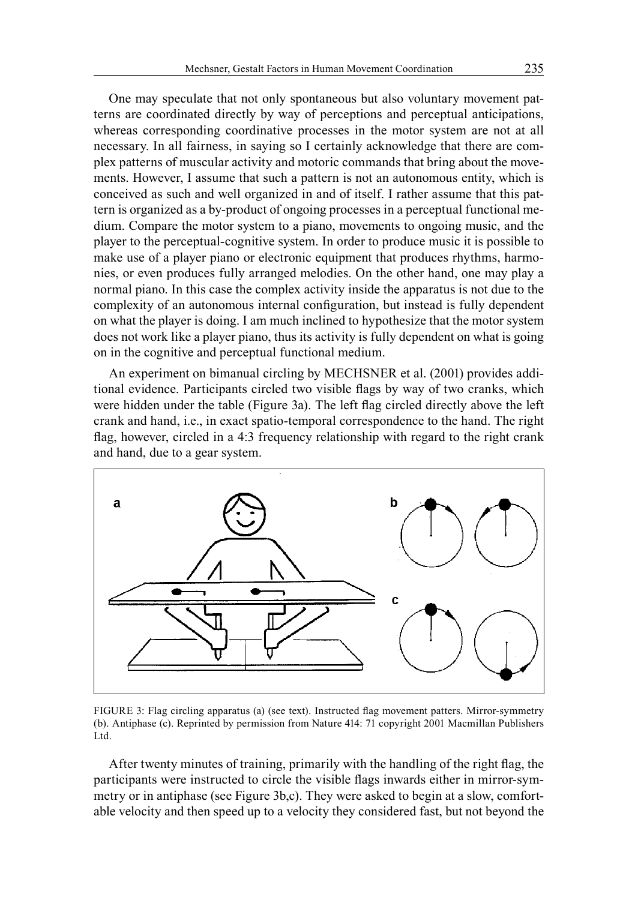One may speculate that not only spontaneous but also voluntary movement patterns are coordinated directly by way of perceptions and perceptual anticipations, whereas corresponding coordinative processes in the motor system are not at all necessary. In all fairness, in saying so I certainly acknowledge that there are complex patterns of muscular activity and motoric commands that bring about the movements. However, I assume that such a pattern is not an autonomous entity, which is conceived as such and well organized in and of itself. I rather assume that this pattern is organized as a by-product of ongoing processes in a perceptual functional medium. Compare the motor system to a piano, movements to ongoing music, and the player to the perceptual-cognitive system. In order to produce music it is possible to make use of a player piano or electronic equipment that produces rhythms, harmonies, or even produces fully arranged melodies. On the other hand, one may play a normal piano. In this case the complex activity inside the apparatus is not due to the complexity of an autonomous internal configuration, but instead is fully dependent on what the player is doing. I am much inclined to hypothesize that the motor system does not work like a player piano, thus its activity is fully dependent on what is going on in the cognitive and perceptual functional medium.

An experiment on bimanual circling by MECHSNER et al. (2001) provides additional evidence. Participants circled two visible flags by way of two cranks, which were hidden under the table (Figure 3a). The left flag circled directly above the left crank and hand, i.e., in exact spatio-temporal correspondence to the hand. The right flag, however, circled in a 4:3 frequency relationship with regard to the right crank and hand, due to a gear system.



FIGURE 3: Flag circling apparatus (a) (see text). Instructed flag movement patters. Mirror-symmetry (b). Antiphase (c). Reprinted by permission from Nature 414: 71 copyright 2001 Macmillan Publishers Ltd.

After twenty minutes of training, primarily with the handling of the right flag, the participants were instructed to circle the visible flags inwards either in mirror-symmetry or in antiphase (see Figure 3b,c). They were asked to begin at a slow, comfortable velocity and then speed up to a velocity they considered fast, but not beyond the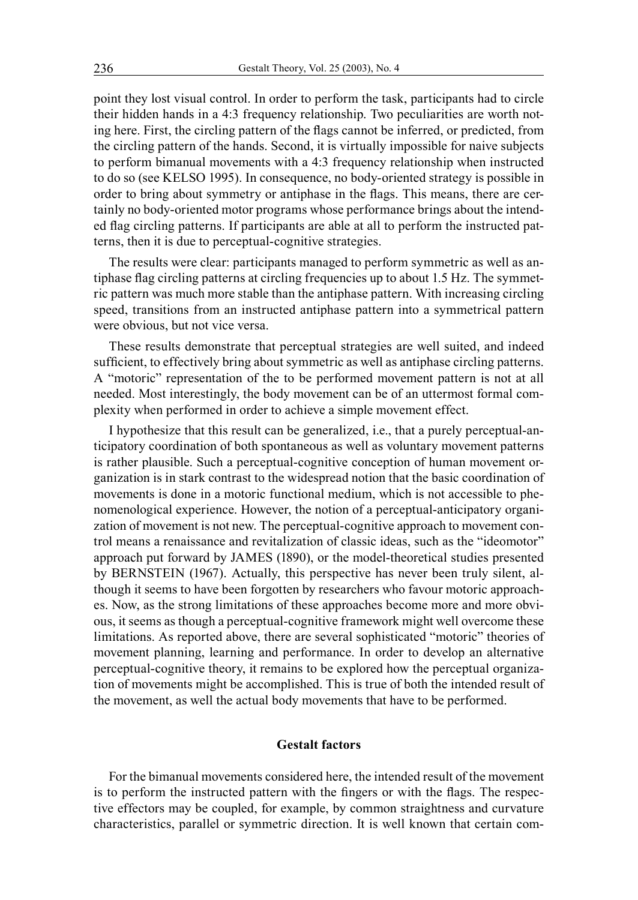point they lost visual control. In order to perform the task, participants had to circle their hidden hands in a 4:3 frequency relationship. Two peculiarities are worth noting here. First, the circling pattern of the flags cannot be inferred, or predicted, from the circling pattern of the hands. Second, it is virtually impossible for naive subjects to perform bimanual movements with a 4:3 frequency relationship when instructed to do so (see KELSO 1995). In consequence, no body-oriented strategy is possible in order to bring about symmetry or antiphase in the flags. This means, there are certainly no body-oriented motor programs whose performance brings about the intended flag circling patterns. If participants are able at all to perform the instructed patterns, then it is due to perceptual-cognitive strategies.

The results were clear: participants managed to perform symmetric as well as antiphase flag circling patterns at circling frequencies up to about 1.5 Hz. The symmetric pattern was much more stable than the antiphase pattern. With increasing circling speed, transitions from an instructed antiphase pattern into a symmetrical pattern were obvious, but not vice versa.

These results demonstrate that perceptual strategies are well suited, and indeed sufficient, to effectively bring about symmetric as well as antiphase circling patterns. A "motoric" representation of the to be performed movement pattern is not at all needed. Most interestingly, the body movement can be of an uttermost formal complexity when performed in order to achieve a simple movement effect.

I hypothesize that this result can be generalized, i.e., that a purely perceptual-anticipatory coordination of both spontaneous as well as voluntary movement patterns is rather plausible. Such a perceptual-cognitive conception of human movement organization is in stark contrast to the widespread notion that the basic coordination of movements is done in a motoric functional medium, which is not accessible to phenomenological experience. However, the notion of a perceptual-anticipatory organization of movement is not new. The perceptual-cognitive approach to movement control means a renaissance and revitalization of classic ideas, such as the "ideomotor" approach put forward by JAMES (1890), or the model-theoretical studies presented by BERNSTEIN (1967). Actually, this perspective has never been truly silent, although it seems to have been forgotten by researchers who favour motoric approaches. Now, as the strong limitations of these approaches become more and more obvious, it seems as though a perceptual-cognitive framework might well overcome these limitations. As reported above, there are several sophisticated "motoric" theories of movement planning, learning and performance. In order to develop an alternative perceptual-cognitive theory, it remains to be explored how the perceptual organization of movements might be accomplished. This is true of both the intended result of the movement, as well the actual body movements that have to be performed.

# **Gestalt factors**

For the bimanual movements considered here, the intended result of the movement is to perform the instructed pattern with the fingers or with the flags. The respective effectors may be coupled, for example, by common straightness and curvature characteristics, parallel or symmetric direction. It is well known that certain com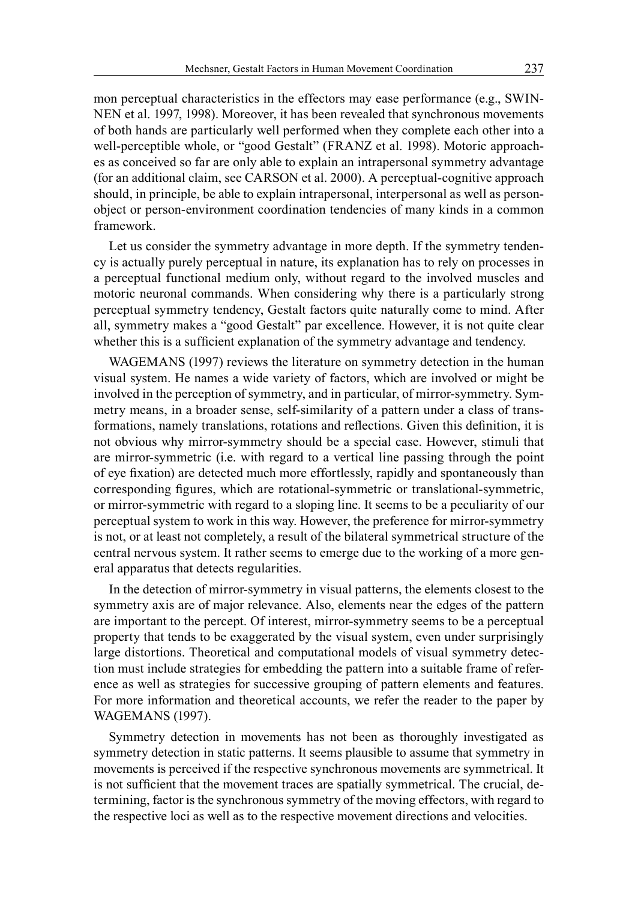mon perceptual characteristics in the effectors may ease performance (e.g., SWIN-NEN et al. 1997, 1998). Moreover, it has been revealed that synchronous movements of both hands are particularly well performed when they complete each other into a well-perceptible whole, or "good Gestalt" (FRANZ et al. 1998). Motoric approaches as conceived so far are only able to explain an intrapersonal symmetry advantage (for an additional claim, see CARSON et al. 2000). A perceptual-cognitive approach should, in principle, be able to explain intrapersonal, interpersonal as well as personobject or person-environment coordination tendencies of many kinds in a common framework.

Let us consider the symmetry advantage in more depth. If the symmetry tendency is actually purely perceptual in nature, its explanation has to rely on processes in a perceptual functional medium only, without regard to the involved muscles and motoric neuronal commands. When considering why there is a particularly strong perceptual symmetry tendency, Gestalt factors quite naturally come to mind. After all, symmetry makes a "good Gestalt" par excellence. However, it is not quite clear whether this is a sufficient explanation of the symmetry advantage and tendency.

WAGEMANS (1997) reviews the literature on symmetry detection in the human visual system. He names a wide variety of factors, which are involved or might be involved in the perception of symmetry, and in particular, of mirror-symmetry. Symmetry means, in a broader sense, self-similarity of a pattern under a class of transformations, namely translations, rotations and reflections. Given this definition, it is not obvious why mirror-symmetry should be a special case. However, stimuli that are mirror-symmetric (i.e. with regard to a vertical line passing through the point of eye fixation) are detected much more effortlessly, rapidly and spontaneously than corresponding figures, which are rotational-symmetric or translational-symmetric, or mirror-symmetric with regard to a sloping line. It seems to be a peculiarity of our perceptual system to work in this way. However, the preference for mirror-symmetry is not, or at least not completely, a result of the bilateral symmetrical structure of the central nervous system. It rather seems to emerge due to the working of a more general apparatus that detects regularities.

In the detection of mirror-symmetry in visual patterns, the elements closest to the symmetry axis are of major relevance. Also, elements near the edges of the pattern are important to the percept. Of interest, mirror-symmetry seems to be a perceptual property that tends to be exaggerated by the visual system, even under surprisingly large distortions. Theoretical and computational models of visual symmetry detection must include strategies for embedding the pattern into a suitable frame of reference as well as strategies for successive grouping of pattern elements and features. For more information and theoretical accounts, we refer the reader to the paper by WAGEMANS (1997).

Symmetry detection in movements has not been as thoroughly investigated as symmetry detection in static patterns. It seems plausible to assume that symmetry in movements is perceived if the respective synchronous movements are symmetrical. It is not sufficient that the movement traces are spatially symmetrical. The crucial, determining, factor is the synchronous symmetry of the moving effectors, with regard to the respective loci as well as to the respective movement directions and velocities.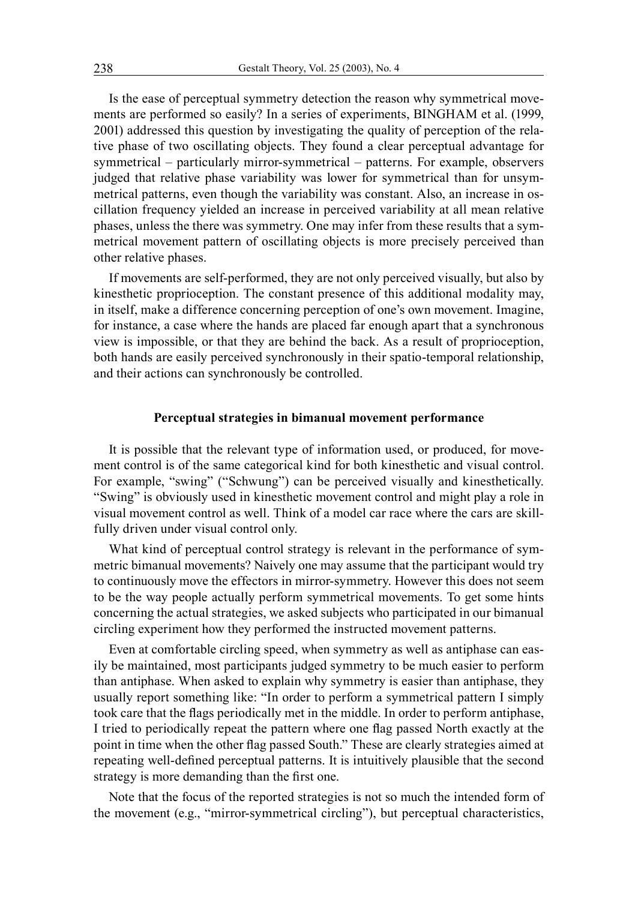Is the ease of perceptual symmetry detection the reason why symmetrical movements are performed so easily? In a series of experiments, BINGHAM et al. (1999, 2001) addressed this question by investigating the quality of perception of the relative phase of two oscillating objects. They found a clear perceptual advantage for symmetrical – particularly mirror-symmetrical – patterns. For example, observers judged that relative phase variability was lower for symmetrical than for unsymmetrical patterns, even though the variability was constant. Also, an increase in oscillation frequency yielded an increase in perceived variability at all mean relative phases, unless the there was symmetry. One may infer from these results that a symmetrical movement pattern of oscillating objects is more precisely perceived than other relative phases.

If movements are self-performed, they are not only perceived visually, but also by kinesthetic proprioception. The constant presence of this additional modality may, in itself, make a difference concerning perception of one's own movement. Imagine, for instance, a case where the hands are placed far enough apart that a synchronous view is impossible, or that they are behind the back. As a result of proprioception, both hands are easily perceived synchronously in their spatio-temporal relationship, and their actions can synchronously be controlled.

# **Perceptual strategies in bimanual movement performance**

It is possible that the relevant type of information used, or produced, for movement control is of the same categorical kind for both kinesthetic and visual control. For example, "swing" ("Schwung") can be perceived visually and kinesthetically. "Swing" is obviously used in kinesthetic movement control and might play a role in visual movement control as well. Think of a model car race where the cars are skillfully driven under visual control only.

What kind of perceptual control strategy is relevant in the performance of symmetric bimanual movements? Naively one may assume that the participant would try to continuously move the effectors in mirror-symmetry. However this does not seem to be the way people actually perform symmetrical movements. To get some hints concerning the actual strategies, we asked subjects who participated in our bimanual circling experiment how they performed the instructed movement patterns.

Even at comfortable circling speed, when symmetry as well as antiphase can easily be maintained, most participants judged symmetry to be much easier to perform than antiphase. When asked to explain why symmetry is easier than antiphase, they usually report something like: "In order to perform a symmetrical pattern I simply took care that the flags periodically met in the middle. In order to perform antiphase, I tried to periodically repeat the pattern where one flag passed North exactly at the point in time when the other flag passed South." These are clearly strategies aimed at repeating well-defined perceptual patterns. It is intuitively plausible that the second strategy is more demanding than the first one.

Note that the focus of the reported strategies is not so much the intended form of the movement (e.g., "mirror-symmetrical circling"), but perceptual characteristics,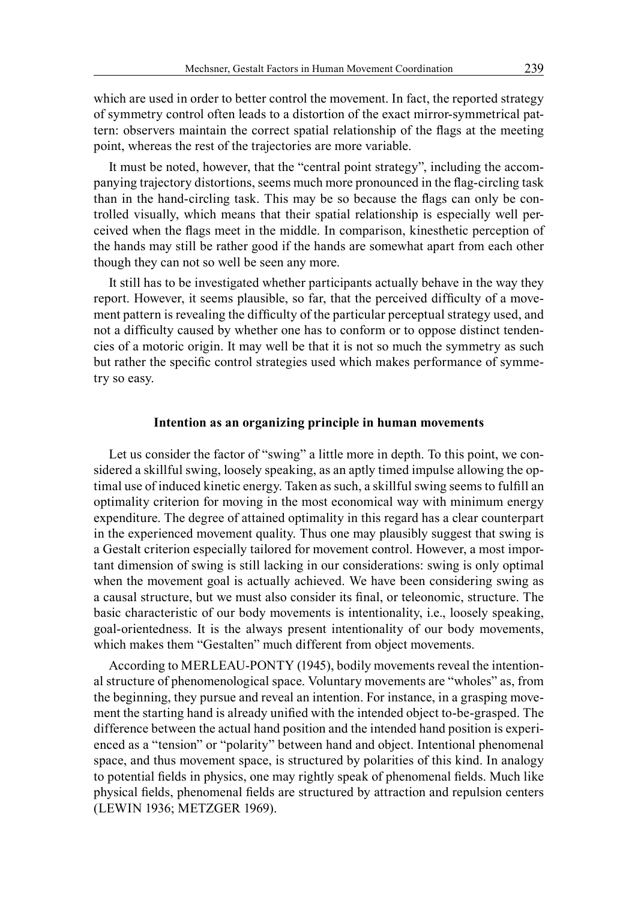which are used in order to better control the movement. In fact, the reported strategy of symmetry control often leads to a distortion of the exact mirror-symmetrical pattern: observers maintain the correct spatial relationship of the flags at the meeting point, whereas the rest of the trajectories are more variable.

It must be noted, however, that the "central point strategy", including the accompanying trajectory distortions, seems much more pronounced in the flag-circling task than in the hand-circling task. This may be so because the flags can only be controlled visually, which means that their spatial relationship is especially well perceived when the flags meet in the middle. In comparison, kinesthetic perception of the hands may still be rather good if the hands are somewhat apart from each other though they can not so well be seen any more.

It still has to be investigated whether participants actually behave in the way they report. However, it seems plausible, so far, that the perceived difficulty of a movement pattern is revealing the difficulty of the particular perceptual strategy used, and not a difficulty caused by whether one has to conform or to oppose distinct tendencies of a motoric origin. It may well be that it is not so much the symmetry as such but rather the specific control strategies used which makes performance of symmetry so easy.

## **Intention as an organizing principle in human movements**

Let us consider the factor of "swing" a little more in depth. To this point, we considered a skillful swing, loosely speaking, as an aptly timed impulse allowing the optimal use of induced kinetic energy. Taken as such, a skillful swing seems to fulfill an optimality criterion for moving in the most economical way with minimum energy expenditure. The degree of attained optimality in this regard has a clear counterpart in the experienced movement quality. Thus one may plausibly suggest that swing is a Gestalt criterion especially tailored for movement control. However, a most important dimension of swing is still lacking in our considerations: swing is only optimal when the movement goal is actually achieved. We have been considering swing as a causal structure, but we must also consider its final, or teleonomic, structure. The basic characteristic of our body movements is intentionality, i.e., loosely speaking, goal-orientedness. It is the always present intentionality of our body movements, which makes them "Gestalten" much different from object movements.

According to MERLEAU-PONTY (1945), bodily movements reveal the intentional structure of phenomenological space. Voluntary movements are "wholes" as, from the beginning, they pursue and reveal an intention. For instance, in a grasping movement the starting hand is already unified with the intended object to-be-grasped. The difference between the actual hand position and the intended hand position is experienced as a "tension" or "polarity" between hand and object. Intentional phenomenal space, and thus movement space, is structured by polarities of this kind. In analogy to potential fields in physics, one may rightly speak of phenomenal fields. Much like physical fields, phenomenal fields are structured by attraction and repulsion centers (LEWIN 1936; METZGER 1969).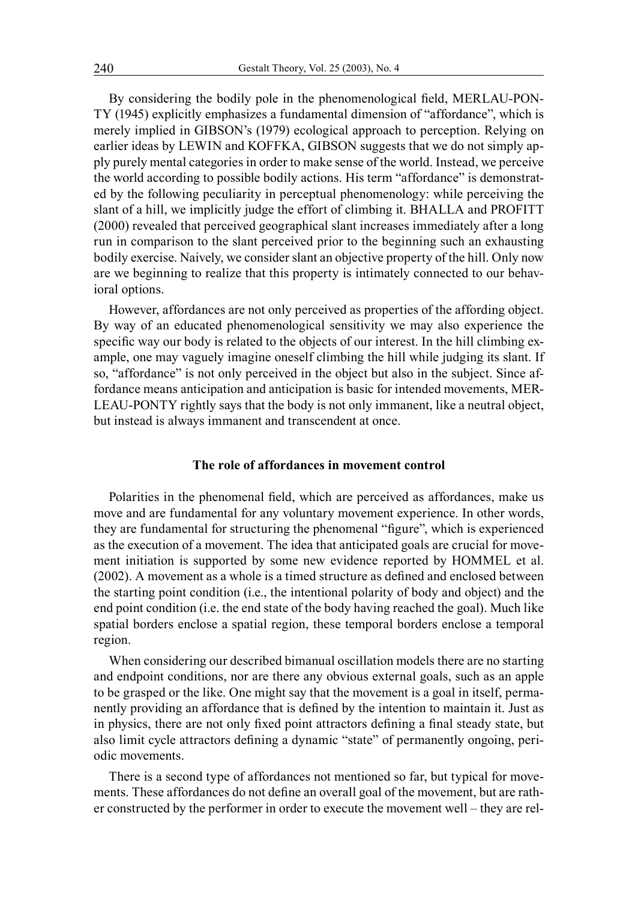By considering the bodily pole in the phenomenological field, MERLAU-PON-TY (1945) explicitly emphasizes a fundamental dimension of "affordance", which is merely implied in GIBSON's (1979) ecological approach to perception. Relying on earlier ideas by LEWIN and KOFFKA, GIBSON suggests that we do not simply apply purely mental categories in order to make sense of the world. Instead, we perceive the world according to possible bodily actions. His term "affordance" is demonstrated by the following peculiarity in perceptual phenomenology: while perceiving the slant of a hill, we implicitly judge the effort of climbing it. BHALLA and PROFITT (2000) revealed that perceived geographical slant increases immediately after a long run in comparison to the slant perceived prior to the beginning such an exhausting bodily exercise. Naively, we consider slant an objective property of the hill. Only now are we beginning to realize that this property is intimately connected to our behavioral options.

However, affordances are not only perceived as properties of the affording object. By way of an educated phenomenological sensitivity we may also experience the specific way our body is related to the objects of our interest. In the hill climbing example, one may vaguely imagine oneself climbing the hill while judging its slant. If so, "affordance" is not only perceived in the object but also in the subject. Since affordance means anticipation and anticipation is basic for intended movements, MER-LEAU-PONTY rightly says that the body is not only immanent, like a neutral object, but instead is always immanent and transcendent at once.

# **The role of affordances in movement control**

Polarities in the phenomenal field, which are perceived as affordances, make us move and are fundamental for any voluntary movement experience. In other words, they are fundamental for structuring the phenomenal "figure", which is experienced as the execution of a movement. The idea that anticipated goals are crucial for movement initiation is supported by some new evidence reported by HOMMEL et al. (2002). A movement as a whole is a timed structure as defined and enclosed between the starting point condition (i.e., the intentional polarity of body and object) and the end point condition (i.e. the end state of the body having reached the goal). Much like spatial borders enclose a spatial region, these temporal borders enclose a temporal region.

When considering our described bimanual oscillation models there are no starting and endpoint conditions, nor are there any obvious external goals, such as an apple to be grasped or the like. One might say that the movement is a goal in itself, permanently providing an affordance that is defined by the intention to maintain it. Just as in physics, there are not only fixed point attractors defining a final steady state, but also limit cycle attractors defining a dynamic "state" of permanently ongoing, periodic movements.

There is a second type of affordances not mentioned so far, but typical for movements. These affordances do not define an overall goal of the movement, but are rather constructed by the performer in order to execute the movement well – they are rel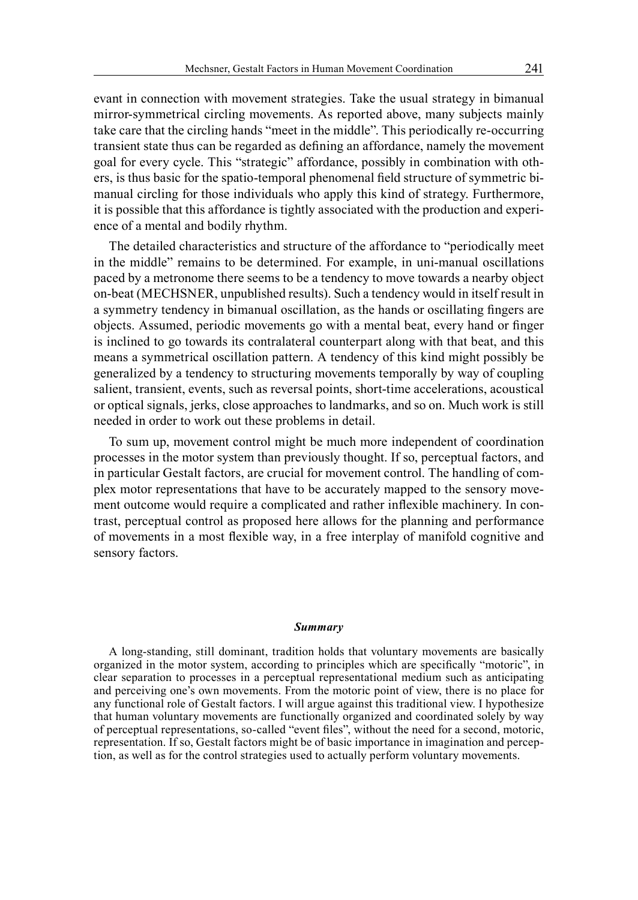evant in connection with movement strategies. Take the usual strategy in bimanual mirror-symmetrical circling movements. As reported above, many subjects mainly take care that the circling hands "meet in the middle". This periodically re-occurring transient state thus can be regarded as defining an affordance, namely the movement goal for every cycle. This "strategic" affordance, possibly in combination with others, is thus basic for the spatio-temporal phenomenal field structure of symmetric bimanual circling for those individuals who apply this kind of strategy. Furthermore, it is possible that this affordance is tightly associated with the production and experience of a mental and bodily rhythm.

The detailed characteristics and structure of the affordance to "periodically meet in the middle" remains to be determined. For example, in uni-manual oscillations paced by a metronome there seems to be a tendency to move towards a nearby object on-beat (MECHSNER, unpublished results). Such a tendency would in itself result in a symmetry tendency in bimanual oscillation, as the hands or oscillating fingers are objects. Assumed, periodic movements go with a mental beat, every hand or finger is inclined to go towards its contralateral counterpart along with that beat, and this means a symmetrical oscillation pattern. A tendency of this kind might possibly be generalized by a tendency to structuring movements temporally by way of coupling salient, transient, events, such as reversal points, short-time accelerations, acoustical or optical signals, jerks, close approaches to landmarks, and so on. Much work is still needed in order to work out these problems in detail.

To sum up, movement control might be much more independent of coordination processes in the motor system than previously thought. If so, perceptual factors, and in particular Gestalt factors, are crucial for movement control. The handling of complex motor representations that have to be accurately mapped to the sensory movement outcome would require a complicated and rather inflexible machinery. In contrast, perceptual control as proposed here allows for the planning and performance of movements in a most flexible way, in a free interplay of manifold cognitive and sensory factors.

#### *Summary*

A long-standing, still dominant, tradition holds that voluntary movements are basically organized in the motor system, according to principles which are specifically "motoric", in clear separation to processes in a perceptual representational medium such as anticipating and perceiving one's own movements. From the motoric point of view, there is no place for any functional role of Gestalt factors. I will argue against this traditional view. I hypothesize that human voluntary movements are functionally organized and coordinated solely by way of perceptual representations, so-called "event files", without the need for a second, motoric, representation. If so, Gestalt factors might be of basic importance in imagination and perception, as well as for the control strategies used to actually perform voluntary movements.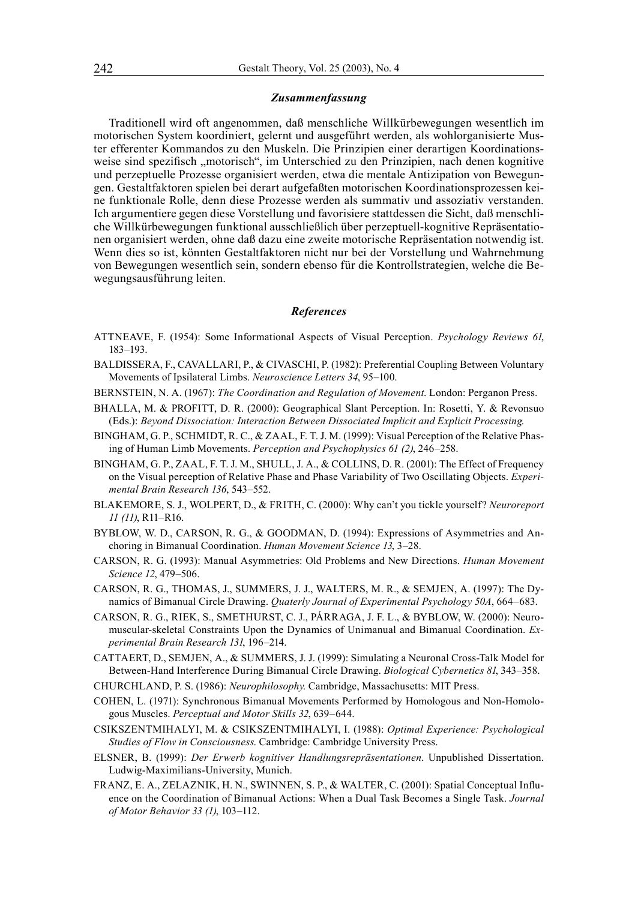#### *Zusammenfassung*

Traditionell wird oft angenommen, daß menschliche Willkürbewegungen wesentlich im motorischen System koordiniert, gelernt und ausgeführt werden, als wohlorganisierte Muster efferenter Kommandos zu den Muskeln. Die Prinzipien einer derartigen Koordinationsweise sind spezifisch "motorisch", im Unterschied zu den Prinzipien, nach denen kognitive und perzeptuelle Prozesse organisiert werden, etwa die mentale Antizipation von Bewegungen. Gestaltfaktoren spielen bei derart aufgefaßten motorischen Koordinationsprozessen keine funktionale Rolle, denn diese Prozesse werden als summativ und assoziativ verstanden. Ich argumentiere gegen diese Vorstellung und favorisiere stattdessen die Sicht, daß menschliche Willkürbewegungen funktional ausschließlich über perzeptuell-kognitive Repräsentationen organisiert werden, ohne daß dazu eine zweite motorische Repräsentation notwendig ist. Wenn dies so ist, könnten Gestaltfaktoren nicht nur bei der Vorstellung und Wahrnehmung von Bewegungen wesentlich sein, sondern ebenso für die Kontrollstrategien, welche die Bewegungsausführung leiten.

#### *References*

- ATTNEAVE, F. (1954): Some Informational Aspects of Visual Perception. *Psychology Reviews 61*, 183–193.
- BALDISSERA, F., CAVALLARI, P., & CIVASCHI, P. (1982): Preferential Coupling Between Voluntary Movements of Ipsilateral Limbs. *Neuroscience Letters 34*, 95–100.
- BERNSTEIN, N. A. (1967): *The Coordination and Regulation of Movement*. London: Perganon Press.
- BHALLA, M. & PROFITT, D. R. (2000): Geographical Slant Perception. In: Rosetti, Y. & Revonsuo (Eds.): *Beyond Dissociation: Interaction Between Dissociated Implicit and Explicit Processing*.
- BINGHAM, G. P., SCHMIDT, R. C., & ZAAL, F. T. J. M. (1999): Visual Perception of the Relative Phasing of Human Limb Movements. *Perception and Psychophysics 61 (2)*, 246–258.
- BINGHAM, G. P., ZAAL, F. T. J. M., SHULL, J. A., & COLLINS, D. R. (2001): The Effect of Frequency on the Visual perception of Relative Phase and Phase Variability of Two Oscillating Objects. *Experimental Brain Research 136*, 543–552.
- BLAKEMORE, S. J., WOLPERT, D., & FRITH, C. (2000): Why can't you tickle yourself? *Neuroreport 11 (11)*, R11–R16.
- BYBLOW, W. D., CARSON, R. G., & GOODMAN, D. (1994): Expressions of Asymmetries and Anchoring in Bimanual Coordination. *Human Movement Science 13*, 3–28.
- CARSON, R. G. (1993): Manual Asymmetries: Old Problems and New Directions. *Human Movement Science 12*, 479–506.
- CARSON, R. G., THOMAS, J., SUMMERS, J. J., WALTERS, M. R., & SEMJEN, A. (1997): The Dynamics of Bimanual Circle Drawing. *Quaterly Journal of Experimental Psychology 50A*, 664–683.
- CARSON, R. G., RIEK, S., SMETHURST, C. J., PÁRRAGA, J. F. L., & BYBLOW, W. (2000): Neuromuscular-skeletal Constraints Upon the Dynamics of Unimanual and Bimanual Coordination. *Experimental Brain Research 131*, 196–214.
- CATTAERT, D., SEMJEN, A., & SUMMERS, J. J. (1999): Simulating a Neuronal Cross-Talk Model for Between-Hand Interference During Bimanual Circle Drawing. *Biological Cybernetics 81*, 343–358.
- CHURCHLAND, P. S. (1986): *Neurophilosophy*. Cambridge, Massachusetts: MIT Press.
- COHEN, L. (1971): Synchronous Bimanual Movements Performed by Homologous and Non-Homologous Muscles. *Perceptual and Motor Skills 32*, 639–644.
- CSIKSZENTMIHALYI, M. & CSIKSZENTMIHALYI, I. (1988): *Optimal Experience: Psychological Studies of Flow in Consciousness*. Cambridge: Cambridge University Press.
- ELSNER, B. (1999): *Der Erwerb kognitiver Handlungsrepräsentationen*. Unpublished Dissertation. Ludwig-Maximilians-University, Munich.
- FRANZ, E. A., ZELAZNIK, H. N., SWINNEN, S. P., & WALTER, C. (2001): Spatial Conceptual Influence on the Coordination of Bimanual Actions: When a Dual Task Becomes a Single Task. *Journal of Motor Behavior 33 (1)*, 103–112.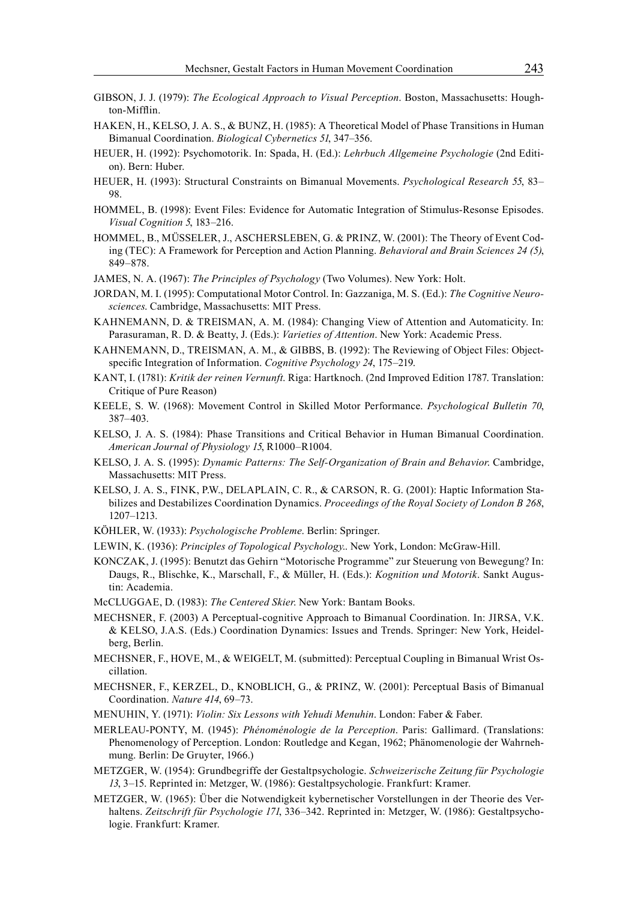- GIBSON, J. J. (1979): *The Ecological Approach to Visual Perception*. Boston, Massachusetts: Houghton-Mifflin.
- HAKEN, H., KELSO, J. A. S., & BUNZ, H. (1985): A Theoretical Model of Phase Transitions in Human Bimanual Coordination. *Biological Cybernetics 51*, 347–356.
- HEUER, H. (1992): Psychomotorik. In: Spada, H. (Ed.): *Lehrbuch Allgemeine Psychologie* (2nd Edition). Bern: Huber.
- HEUER, H. (1993): Structural Constraints on Bimanual Movements. *Psychological Research 55*, 83– 98.
- HOMMEL, B. (1998): Event Files: Evidence for Automatic Integration of Stimulus-Resonse Episodes. *Visual Cognition 5*, 183–216.
- HOMMEL, B., MÜSSELER, J., ASCHERSLEBEN, G. & PRINZ, W. (2001): The Theory of Event Coding (TEC): A Framework for Perception and Action Planning. *Behavioral and Brain Sciences 24 (5)*, 849–878.
- JAMES, N. A. (1967): *The Principles of Psychology* (Two Volumes). New York: Holt.
- JORDAN, M. I. (1995): Computational Motor Control. In: Gazzaniga, M. S. (Ed.): *The Cognitive Neurosciences*. Cambridge, Massachusetts: MIT Press.
- KAHNEMANN, D. & TREISMAN, A. M. (1984): Changing View of Attention and Automaticity. In: Parasuraman, R. D. & Beatty, J. (Eds.): *Varieties of Attention*. New York: Academic Press.
- KAHNEMANN, D., TREISMAN, A. M., & GIBBS, B. (1992): The Reviewing of Object Files: Objectspecific Integration of Information. *Cognitive Psychology 24*, 175–219.
- KANT, I. (1781): *Kritik der reinen Vernunft*. Riga: Hartknoch. (2nd Improved Edition 1787. Translation: Critique of Pure Reason)
- KEELE, S. W. (1968): Movement Control in Skilled Motor Performance. *Psychological Bulletin 70*, 387–403.
- KELSO, J. A. S. (1984): Phase Transitions and Critical Behavior in Human Bimanual Coordination. *American Journal of Physiology 15*, R1000–R1004.
- KELSO, J. A. S. (1995): *Dynamic Patterns: The Self-Organization of Brain and Behavior*. Cambridge, Massachusetts: MIT Press.
- KELSO, J. A. S., FINK, P.W., DELAPLAIN, C. R., & CARSON, R. G. (2001): Haptic Information Stabilizes and Destabilizes Coordination Dynamics. *Proceedings of the Royal Society of London B 268*, 1207–1213.
- KÖHLER, W. (1933): *Psychologische Probleme*. Berlin: Springer.
- LEWIN, K. (1936): *Principles of Topological Psychology*.. New York, London: McGraw-Hill.
- KONCZAK, J. (1995): Benutzt das Gehirn "Motorische Programme" zur Steuerung von Bewegung? In: Daugs, R., Blischke, K., Marschall, F., & Müller, H. (Eds.): *Kognition und Motorik*. Sankt Augustin: Academia.
- McCLUGGAE, D. (1983): *The Centered Skier*. New York: Bantam Books.
- MECHSNER, F. (2003) A Perceptual-cognitive Approach to Bimanual Coordination. In: JIRSA, V.K. & KELSO, J.A.S. (Eds.) Coordination Dynamics: Issues and Trends. Springer: New York, Heidelberg, Berlin.
- MECHSNER, F., HOVE, M., & WEIGELT, M. (submitted): Perceptual Coupling in Bimanual Wrist Oscillation.
- MECHSNER, F., KERZEL, D., KNOBLICH, G., & PRINZ, W. (2001): Perceptual Basis of Bimanual Coordination. *Nature 414*, 69–73.
- MENUHIN, Y. (1971): *Violin: Six Lessons with Yehudi Menuhin*. London: Faber & Faber.
- MERLEAU-PONTY, M. (1945): *Phénoménologie de la Perception*. Paris: Gallimard. (Translations: Phenomenology of Perception. London: Routledge and Kegan, 1962; Phänomenologie der Wahrnehmung. Berlin: De Gruyter, 1966.)
- METZGER, W. (1954): Grundbegriffe der Gestaltpsychologie. *Schweizerische Zeitung für Psychologie 13*, 3–15. Reprinted in: Metzger, W. (1986): Gestaltpsychologie. Frankfurt: Kramer.
- METZGER, W. (1965): Über die Notwendigkeit kybernetischer Vorstellungen in der Theorie des Verhaltens. *Zeitschrift für Psychologie 171*, 336–342. Reprinted in: Metzger, W. (1986): Gestaltpsychologie. Frankfurt: Kramer.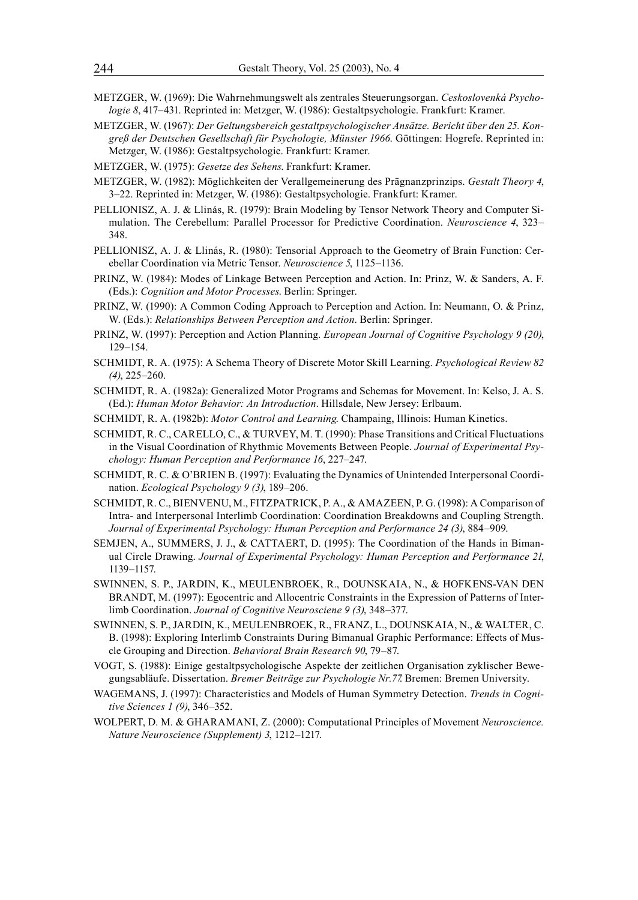- METZGER, W. (1969): Die Wahrnehmungswelt als zentrales Steuerungsorgan. *Ceskoslovenká Psychologie 8*, 417–431. Reprinted in: Metzger, W. (1986): Gestaltpsychologie. Frankfurt: Kramer.
- METZGER, W. (1967): *Der Geltungsbereich gestaltpsychologischer Ansätze. Bericht über den 25. Kongreß der Deutschen Gesellschaft für Psychologie, Münster 1966*. Göttingen: Hogrefe. Reprinted in: Metzger, W. (1986): Gestaltpsychologie. Frankfurt: Kramer.
- METZGER, W. (1975): *Gesetze des Sehens*. Frankfurt: Kramer.
- METZGER, W. (1982): Möglichkeiten der Verallgemeinerung des Prägnanzprinzips. *Gestalt Theory 4*, 3–22. Reprinted in: Metzger, W. (1986): Gestaltpsychologie. Frankfurt: Kramer.
- PELLIONISZ, A. J. & Llinás, R. (1979): Brain Modeling by Tensor Network Theory and Computer Simulation. The Cerebellum: Parallel Processor for Predictive Coordination. *Neuroscience 4*, 323– 348.
- PELLIONISZ, A. J. & Llinás, R. (1980): Tensorial Approach to the Geometry of Brain Function: Cerebellar Coordination via Metric Tensor. *Neuroscience 5*, 1125–1136.
- PRINZ, W. (1984): Modes of Linkage Between Perception and Action. In: Prinz, W. & Sanders, A. F. (Eds.): *Cognition and Motor Processes*. Berlin: Springer.
- PRINZ, W. (1990): A Common Coding Approach to Perception and Action. In: Neumann, O. & Prinz, W. (Eds.): *Relationships Between Perception and Action*. Berlin: Springer.
- PRINZ, W. (1997): Perception and Action Planning. *European Journal of Cognitive Psychology 9 (20)*, 129–154.
- SCHMIDT, R. A. (1975): A Schema Theory of Discrete Motor Skill Learning. *Psychological Review 82 (4)*, 225–260.
- SCHMIDT, R. A. (1982a): Generalized Motor Programs and Schemas for Movement. In: Kelso, J. A. S. (Ed.): *Human Motor Behavior: An Introduction*. Hillsdale, New Jersey: Erlbaum.
- SCHMIDT, R. A. (1982b): *Motor Control and Learning*. Champaing, Illinois: Human Kinetics.
- SCHMIDT, R. C., CARELLO, C., & TURVEY, M. T. (1990): Phase Transitions and Critical Fluctuations in the Visual Coordination of Rhythmic Movements Between People. *Journal of Experimental Psychology: Human Perception and Performance 16*, 227–247.
- SCHMIDT, R. C. & O'BRIEN B. (1997): Evaluating the Dynamics of Unintended Interpersonal Coordination. *Ecological Psychology 9 (3)*, 189–206.
- SCHMIDT, R. C., BIENVENU, M., FITZPATRICK, P. A., & AMAZEEN, P. G. (1998): A Comparison of Intra- and Interpersonal Interlimb Coordination: Coordination Breakdowns and Coupling Strength. *Journal of Experimental Psychology: Human Perception and Performance 24 (3)*, 884–909.
- SEMJEN, A., SUMMERS, J. J., & CATTAERT, D. (1995): The Coordination of the Hands in Bimanual Circle Drawing. *Journal of Experimental Psychology: Human Perception and Performance 21*, 1139–1157.
- SWINNEN, S. P., JARDIN, K., MEULENBROEK, R., DOUNSKAIA, N., & HOFKENS-VAN DEN BRANDT, M. (1997): Egocentric and Allocentric Constraints in the Expression of Patterns of Interlimb Coordination. *Journal of Cognitive Neurosciene 9 (3)*, 348–377.
- SWINNEN, S. P., JARDIN, K., MEULENBROEK, R., FRANZ, L., DOUNSKAIA, N., & WALTER, C. B. (1998): Exploring Interlimb Constraints During Bimanual Graphic Performance: Effects of Muscle Grouping and Direction. *Behavioral Brain Research 90*, 79–87.
- VOGT, S. (1988): Einige gestaltpsychologische Aspekte der zeitlichen Organisation zyklischer Bewegungsabläufe. Dissertation. *Bremer Beiträge zur Psychologie Nr.77*. Bremen: Bremen University.
- WAGEMANS, J. (1997): Characteristics and Models of Human Symmetry Detection. *Trends in Cognitive Sciences 1 (9)*, 346–352.
- WOLPERT, D. M. & GHARAMANI, Z. (2000): Computational Principles of Movement *Neuroscience. Nature Neuroscience (Supplement) 3*, 1212–1217.